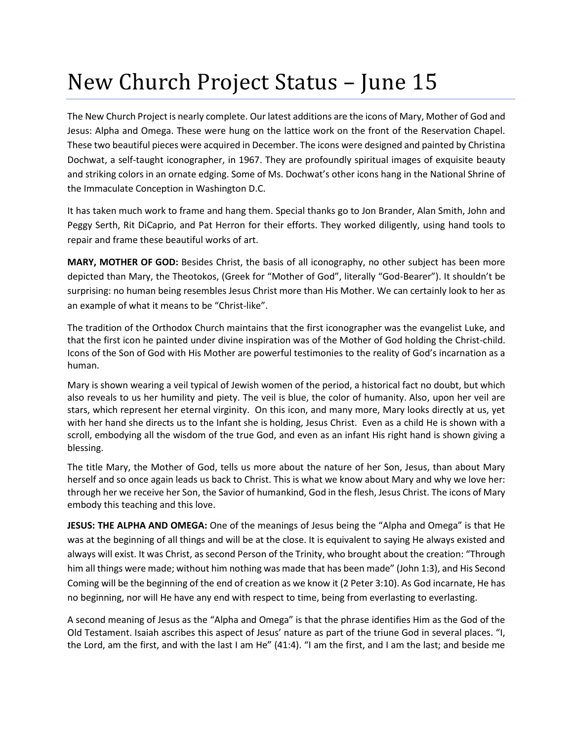## New Church Project Status – June 15

The New Church Project is nearly complete. Our latest additions are the icons of Mary, Mother of God and Jesus: Alpha and Omega. These were hung on the lattice work on the front of the Reservation Chapel. These two beautiful pieces were acquired in December. The icons were designed and painted by Christina Dochwat, a self-taught iconographer, in 1967. They are profoundly spiritual images of exquisite beauty and striking colors in an ornate edging. Some of Ms. Dochwat's other icons hang in the National Shrine of the Immaculate Conception in Washington D.C.

It has taken much work to frame and hang them. Special thanks go to Jon Brander, Alan Smith, John and Peggy Serth, Rit DiCaprio, and Pat Herron for their efforts. They worked diligently, using hand tools to repair and frame these beautiful works of art.

**MARY, MOTHER OF GOD:** Besides Christ, the basis of all iconography, no other subject has been more depicted than Mary, the Theotokos, (Greek for "Mother of God", literally "God-Bearer"). It shouldn't be surprising: no human being resembles Jesus Christ more than His Mother. We can certainly look to her as an example of what it means to be "Christ-like".

The tradition of the Orthodox Church maintains that the first iconographer was the evangelist Luke, and that the first icon he painted under divine inspiration was of the Mother of God holding the Christ-child. Icons of the Son of God with His Mother are powerful testimonies to the reality of God's incarnation as a human.

Mary is shown wearing a veil typical of Jewish women of the period, a historical fact no doubt, but which also reveals to us her humility and piety. The veil is blue, the color of humanity. Also, upon her veil are stars, which represent her eternal virginity. On this icon, and many more, Mary looks directly at us, yet with her hand she directs us to the Infant she is holding, Jesus Christ. Even as a child He is shown with a scroll, embodying all the wisdom of the true God, and even as an infant His right hand is shown giving a blessing.

The title Mary, the Mother of God, tells us more about the nature of her Son, Jesus, than about Mary herself and so once again leads us back to Christ. This is what we know about Mary and why we love her: through her we receive her Son, the Savior of humankind, God in the flesh, Jesus Christ. The icons of Mary embody this teaching and this love.

**JESUS: THE ALPHA AND OMEGA:** One of the meanings of Jesus being the "Alpha and Omega" is that He was at the beginning of all things and will be at the close. It is equivalent to saying He always existed and always will exist. It was Christ, as second Person of the Trinity, who brought about the creation: "Through him all things were made; without him nothing was made that has been made" (John 1:3), and His Second Coming will be the beginning of the end of creation as we know it (2 Peter 3:10). As God incarnate, He has no beginning, nor will He have any end with respect to time, being from everlasting to everlasting.

A second meaning of Jesus as the "Alpha and Omega" is that the phrase identifies Him as the God of the Old Testament. Isaiah ascribes this aspect of Jesus' nature as part of the triune God in several places. "I, the Lord, am the first, and with the last I am He" (41:4). "I am the first, and I am the last; and beside me